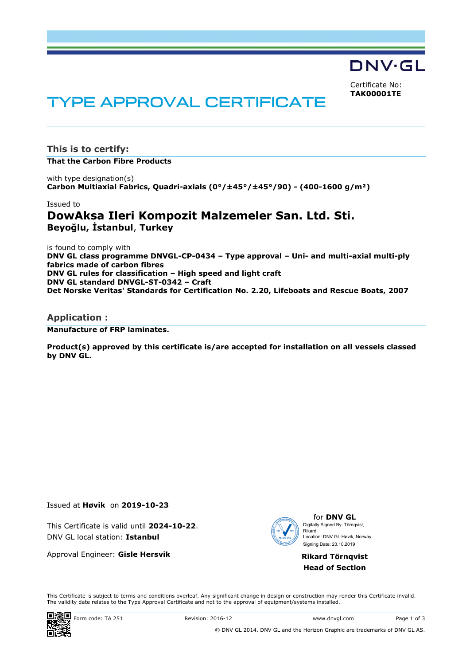DNV·GL

Certificate No: **TAK00001TE**

# **TYPE APPROVAL CERTIFICATE**

**This is to certify:**

**That the Carbon Fibre Products**

with type designation(s) **Carbon Multiaxial Fabrics, Quadri-axials (0°/±45°/±45°/90) - (400-1600 g/m²)**

Issued to

## **DowAksa Ileri Kompozit Malzemeler San. Ltd. Sti. Beyoğlu, İstanbul**, **Turkey**

is found to comply with **DNV GL class programme DNVGL-CP-0434 – Type approval – Uni- and multi-axial multi-ply fabrics made of carbon fibres DNV GL rules for classification – High speed and light craft DNV GL standard DNVGL-ST-0342 – Craft Det Norske Veritas' Standards for Certification No. 2.20, Lifeboats and Rescue Boats, 2007**

### **Application :**

**Manufacture of FRP laminates.**

**Product(s) approved by this certificate is/are accepted for installation on all vessels classed by DNV GL.**

Issued at **Høvik** on **2019-10-23**

This Certificate is valid until **2024-10-22**. DNV GL local station: **Istanbul**

Approval Engineer: **Gisle Hersvik**



for **DNV GL** Signing Date: 23.10.2019 Digitally Signed By: Törnqvist, Rikard Location: DNV GL Høvik, Norway

**Rikard Törnqvist Head of Section**

 This Certificate is subject to terms and conditions overleaf. Any significant change in design or construction may render this Certificate invalid. The validity date relates to the Type Approval Certificate and not to the approval of equipment/systems installed.

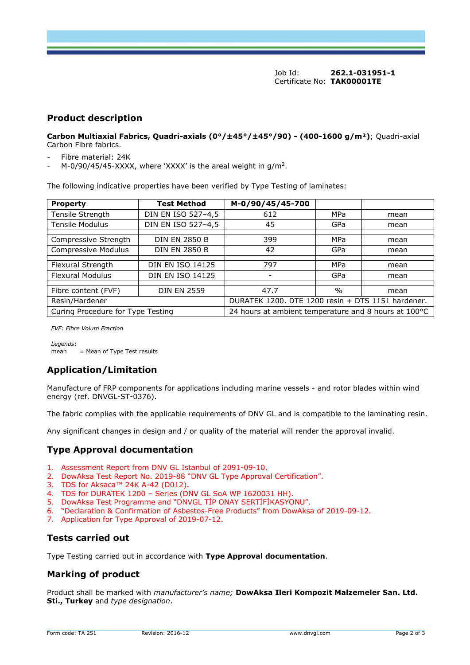Job Id: **262.1-031951-1** Certificate No: **TAK00001TE**

## **Product description**

**Carbon Multiaxial Fabrics, Quadri-axials (0°/±45°/±45°/90) - (400-1600 g/m²)**; Quadri-axial Carbon Fibre fabrics.

- Fibre material: 24K
- M-0/90/45/45-XXXX, where 'XXXX' is the areal weight in  $g/m^2$ .

The following indicative properties have been verified by Type Testing of laminates:

| <b>Property</b>                   | <b>Test Method</b>      | M-0/90/45/45-700                                     |               |      |
|-----------------------------------|-------------------------|------------------------------------------------------|---------------|------|
| Tensile Strength                  | DIN EN ISO 527-4,5      | 612                                                  | MPa           | mean |
| <b>Tensile Modulus</b>            | DIN EN ISO 527-4,5      | 45                                                   | GPa           | mean |
|                                   |                         |                                                      |               |      |
| Compressive Strength              | <b>DIN EN 2850 B</b>    | 399                                                  | MPa           | mean |
| Compressive Modulus               | <b>DIN EN 2850 B</b>    | 42                                                   | GPa           | mean |
|                                   |                         |                                                      |               |      |
| Flexural Strength                 | <b>DIN EN ISO 14125</b> | 797                                                  | MPa           | mean |
| <b>Flexural Modulus</b>           | <b>DIN EN ISO 14125</b> |                                                      | GPa           | mean |
|                                   |                         |                                                      |               |      |
| Fibre content (FVF)               | <b>DIN EN 2559</b>      | 47.7                                                 | $\frac{0}{0}$ | mean |
| Resin/Hardener                    |                         | DURATEK 1200. DTE 1200 resin + DTS 1151 hardener.    |               |      |
| Curing Procedure for Type Testing |                         | 24 hours at ambient temperature and 8 hours at 100°C |               |      |

*FVF: Fibre Volum Fraction*

*Legends*:  $mean$  = Mean of Type Test results

## **Application/Limitation**

Manufacture of FRP components for applications including marine vessels - and rotor blades within wind energy (ref. DNVGL-ST-0376).

The fabric complies with the applicable requirements of DNV GL and is compatible to the laminating resin.

Any significant changes in design and / or quality of the material will render the approval invalid.

## **Type Approval documentation**

- 1. Assessment Report from DNV GL Istanbul of 2091-09-10.
- 2. DowAksa Test Report No. 2019-88 "DNV GL Type Approval Certification".
- 3. TDS for Aksaca™ 24K A-42 (D012).
- 4. TDS for DURATEK 1200 Series (DNV GL SoA WP 1620031 HH).
- 5. DowAksa Test Programme and "DNVGL TİP ONAY SERTİFİKASYONU".
- 6. "Declaration & Confirmation of Asbestos-Free Products" from DowAksa of 2019-09-12.
- 7. Application for Type Approval of 2019-07-12.

## **Tests carried out**

Type Testing carried out in accordance with **Type Approval documentation**.

## **Marking of product**

Product shall be marked with *manufacturer's name;* **DowAksa Ileri Kompozit Malzemeler San. Ltd. Sti., Turkey** and *type designation*.